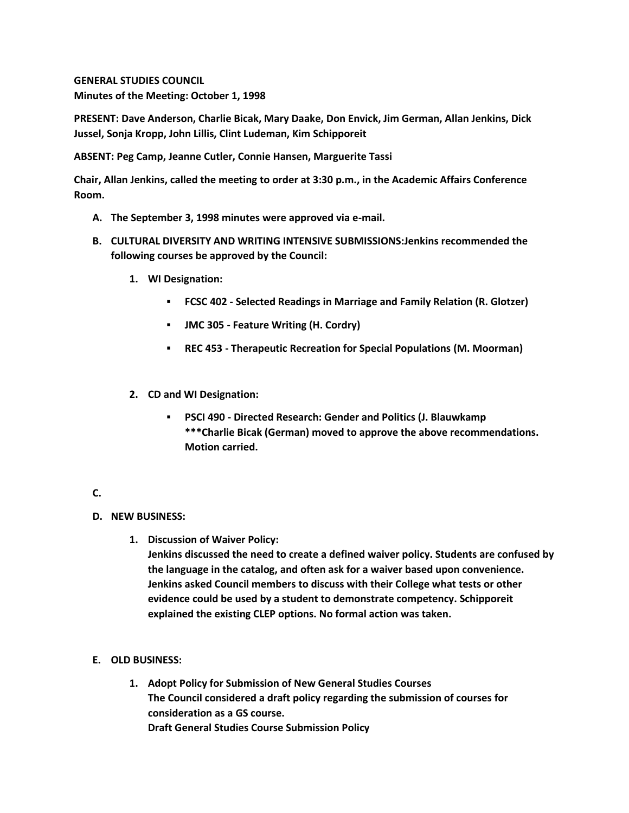**GENERAL STUDIES COUNCIL Minutes of the Meeting: October 1, 1998**

**PRESENT: Dave Anderson, Charlie Bicak, Mary Daake, Don Envick, Jim German, Allan Jenkins, Dick Jussel, Sonja Kropp, John Lillis, Clint Ludeman, Kim Schipporeit**

**ABSENT: Peg Camp, Jeanne Cutler, Connie Hansen, Marguerite Tassi**

**Chair, Allan Jenkins, called the meeting to order at 3:30 p.m., in the Academic Affairs Conference Room.**

- **A. The September 3, 1998 minutes were approved via e-mail.**
- **B. CULTURAL DIVERSITY AND WRITING INTENSIVE SUBMISSIONS:Jenkins recommended the following courses be approved by the Council:** 
	- **1. WI Designation:** 
		- **FCSC 402 - Selected Readings in Marriage and Family Relation (R. Glotzer)**
		- **JMC 305 - Feature Writing (H. Cordry)**
		- **REC 453 - Therapeutic Recreation for Special Populations (M. Moorman)**
	- **2. CD and WI Designation:** 
		- **PSCI 490 - Directed Research: Gender and Politics (J. Blauwkamp \*\*\*Charlie Bicak (German) moved to approve the above recommendations. Motion carried.**

## **C.**

## **D. NEW BUSINESS:**

- **1. Discussion of Waiver Policy: Jenkins discussed the need to create a defined waiver policy. Students are confused by the language in the catalog, and often ask for a waiver based upon convenience. Jenkins asked Council members to discuss with their College what tests or other evidence could be used by a student to demonstrate competency. Schipporeit explained the existing CLEP options. No formal action was taken.**
- **E. OLD BUSINESS:**
	- **1. Adopt Policy for Submission of New General Studies Courses The Council considered a draft policy regarding the submission of courses for consideration as a GS course. Draft General Studies Course Submission Policy**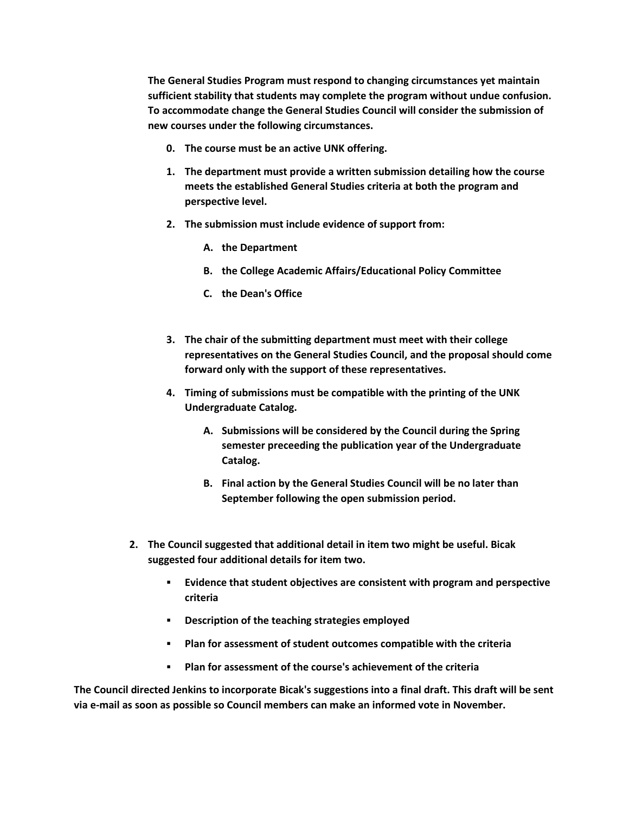**The General Studies Program must respond to changing circumstances yet maintain sufficient stability that students may complete the program without undue confusion. To accommodate change the General Studies Council will consider the submission of new courses under the following circumstances.** 

- **0. The course must be an active UNK offering.**
- **1. The department must provide a written submission detailing how the course meets the established General Studies criteria at both the program and perspective level.**
- **2. The submission must include evidence of support from:** 
	- **A. the Department**
	- **B. the College Academic Affairs/Educational Policy Committee**
	- **C. the Dean's Office**
- **3. The chair of the submitting department must meet with their college representatives on the General Studies Council, and the proposal should come forward only with the support of these representatives.**
- **4. Timing of submissions must be compatible with the printing of the UNK Undergraduate Catalog.** 
	- **A. Submissions will be considered by the Council during the Spring semester preceeding the publication year of the Undergraduate Catalog.**
	- **B. Final action by the General Studies Council will be no later than September following the open submission period.**
- **2. The Council suggested that additional detail in item two might be useful. Bicak suggested four additional details for item two.** 
	- **Evidence that student objectives are consistent with program and perspective criteria**
	- **Description of the teaching strategies employed**
	- **Plan for assessment of student outcomes compatible with the criteria**
	- **Plan for assessment of the course's achievement of the criteria**

**The Council directed Jenkins to incorporate Bicak's suggestions into a final draft. This draft will be sent via e-mail as soon as possible so Council members can make an informed vote in November.**